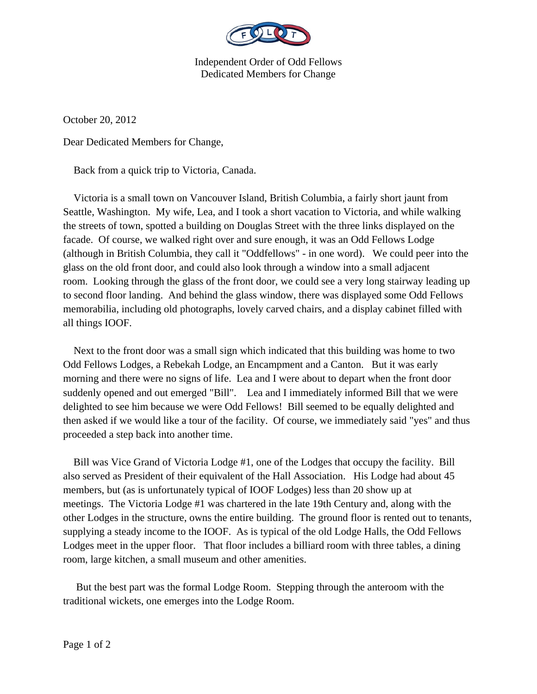

Independent Order of Odd Fellows Dedicated Members for Change

October 20, 2012

Dear Dedicated Members for Change,

Back from a quick trip to Victoria, Canada.

 Victoria is a small town on Vancouver Island, British Columbia, a fairly short jaunt from Seattle, Washington. My wife, Lea, and I took a short vacation to Victoria, and while walking the streets of town, spotted a building on Douglas Street with the three links displayed on the facade. Of course, we walked right over and sure enough, it was an Odd Fellows Lodge (although in British Columbia, they call it "Oddfellows" - in one word). We could peer into the glass on the old front door, and could also look through a window into a small adjacent room. Looking through the glass of the front door, we could see a very long stairway leading up to second floor landing. And behind the glass window, there was displayed some Odd Fellows memorabilia, including old photographs, lovely carved chairs, and a display cabinet filled with all things IOOF.

 Next to the front door was a small sign which indicated that this building was home to two Odd Fellows Lodges, a Rebekah Lodge, an Encampment and a Canton. But it was early morning and there were no signs of life. Lea and I were about to depart when the front door suddenly opened and out emerged "Bill". Lea and I immediately informed Bill that we were delighted to see him because we were Odd Fellows! Bill seemed to be equally delighted and then asked if we would like a tour of the facility. Of course, we immediately said "yes" and thus proceeded a step back into another time.

 Bill was Vice Grand of Victoria Lodge #1, one of the Lodges that occupy the facility. Bill also served as President of their equivalent of the Hall Association. His Lodge had about 45 members, but (as is unfortunately typical of IOOF Lodges) less than 20 show up at meetings. The Victoria Lodge #1 was chartered in the late 19th Century and, along with the other Lodges in the structure, owns the entire building. The ground floor is rented out to tenants, supplying a steady income to the IOOF. As is typical of the old Lodge Halls, the Odd Fellows Lodges meet in the upper floor. That floor includes a billiard room with three tables, a dining room, large kitchen, a small museum and other amenities.

 But the best part was the formal Lodge Room. Stepping through the anteroom with the traditional wickets, one emerges into the Lodge Room.